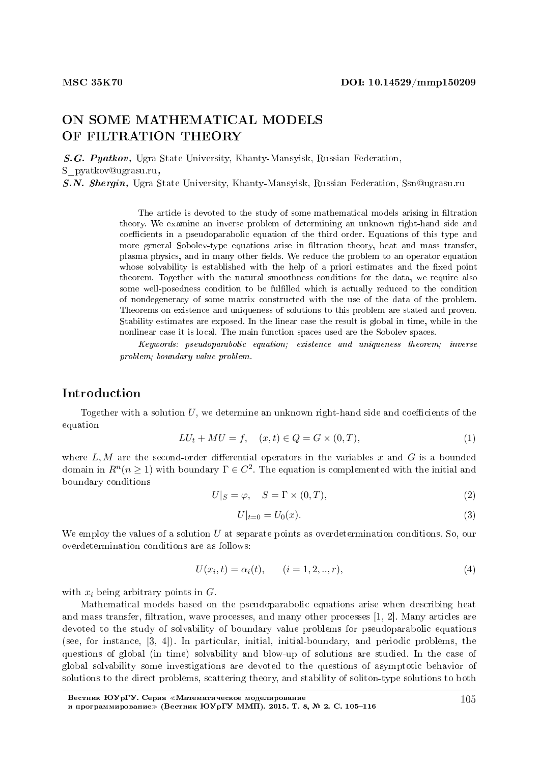# ON SOME MATHEMATICAL MODELS OF FILTRATION THEORY

S.G. Pyatkov, Ugra State University, Khanty-Mansyisk, Russian Federation,

S\_pyatkov@ugrasu.ru,

S.N. Shergin, Ugra State University, Khanty-Mansyisk, Russian Federation, Ssn@ugrasu.ru

The article is devoted to the study of some mathematical models arising in filtration theory. We examine an inverse problem of determining an unknown right-hand side and coefficients in a pseudoparabolic equation of the third order. Equations of this type and more general Sobolev-type equations arise in filtration theory, heat and mass transfer, plasma physics, and in many other fields. We reduce the problem to an operator equation whose solvability is established with the help of a priori estimates and the fixed point theorem. Together with the natural smoothness conditions for the data, we require also some well-posedness condition to be fullled which is actually reduced to the condition of nondegeneracy of some matrix constructed with the use of the data of the problem. Theorems on existence and uniqueness of solutions to this problem are stated and proven. Stability estimates are exposed. In the linear case the result is global in time, while in the nonlinear case it is local. The main function spaces used are the Sobolev spaces.

Keywords: pseudoparabolic equation; existence and uniqueness theorem; inverse problem; boundary value problem.

# Introduction

Together with a solution  $U$ , we determine an unknown right-hand side and coefficients of the equation

$$
LU_t + MU = f, \quad (x, t) \in Q = G \times (0, T), \tag{1}
$$

where  $L, M$  are the second-order differential operators in the variables  $x$  and  $G$  is a bounded domain in  $R^n(n \geq 1)$  with boundary  $\Gamma \in C^2$ . The equation is complemented with the initial and boundary conditions

$$
U|_{S} = \varphi, \quad S = \Gamma \times (0, T), \tag{2}
$$

$$
U|_{t=0} = U_0(x). \tag{3}
$$

We employ the values of a solution *U* at separate points as overdetermination conditions. So, our overdetermination conditions are as follows:

$$
U(x_i, t) = \alpha_i(t), \qquad (i = 1, 2, \dots, r), \tag{4}
$$

with *x<sup>i</sup>* being arbitrary points in *G*.

Mathematical models based on the pseudoparabolic equations arise when describing heat and mass transfer, filtration, wave processes, and many other processes  $[1, 2]$ . Many articles are devoted to the study of solvability of boundary value problems for pseudoparabolic equations (see, for instance, [3, 4]). In particular, initial, initial-boundary, and periodic problems, the questions of global (in time) solvability and blow-up of solutions are studied. In the case of global solvability some investigations are devoted to the questions of asymptotic behavior of solutions to the direct problems, scattering theory, and stability of soliton-type solutions to both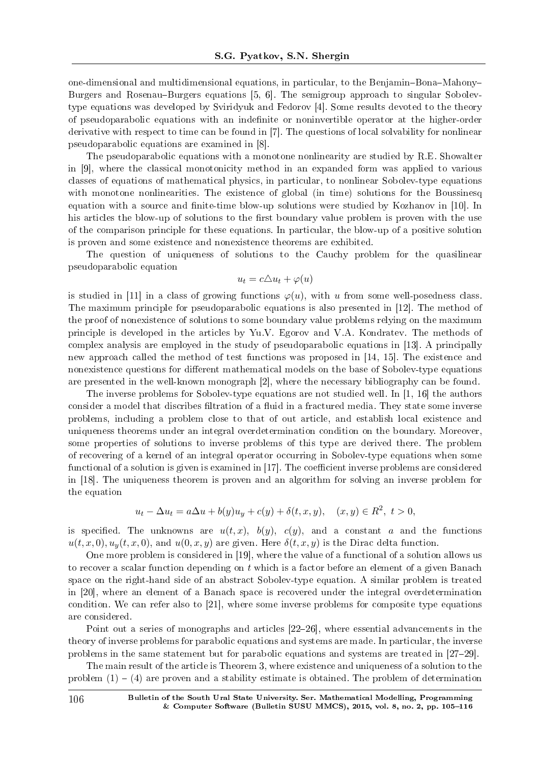one-dimensional and multidimensional equations, in particular, to the Benjamin-Bona-Mahony-Burgers and Rosenau-Burgers equations [5, 6]. The semigroup approach to singular Sobolevtype equations was developed by Sviridyuk and Fedorov [4]. Some results devoted to the theory of pseudoparabolic equations with an indefinite or noninvertible operator at the higher-order derivative with respect to time can be found in [7]. The questions of local solvability for nonlinear pseudoparabolic equations are examined in [8].

The pseudoparabolic equations with a monotone nonlinearity are studied by R.E. Showalter in [9], where the classical monotonicity method in an expanded form was applied to various classes of equations of mathematical physics, in particular, to nonlinear Sobolev-type equations with monotone nonlinearities. The existence of global (in time) solutions for the Boussinesq equation with a source and finite-time blow-up solutions were studied by Kozhanov in [10]. In his articles the blow-up of solutions to the first boundary value problem is proven with the use of the comparison principle for these equations. In particular, the blow-up of a positive solution is proven and some existence and nonexistence theorems are exhibited.

The question of uniqueness of solutions to the Cauchy problem for the quasilinear pseudoparabolic equation

$$
u_t = c\triangle u_t + \varphi(u)
$$

is studied in [11] in a class of growing functions  $\varphi(u)$ , with *u* from some well-posedness class. The maximum principle for pseudoparabolic equations is also presented in [12]. The method of the proof of nonexistence of solutions to some boundary value problems relying on the maximum principle is developed in the articles by Yu.V. Egorov and V.A. Kondratev. The methods of complex analysis are employed in the study of pseudoparabolic equations in [13]. A principally new approach called the method of test functions was proposed in [14, 15]. The existence and nonexistence questions for different mathematical models on the base of Sobolev-type equations are presented in the well-known monograph [2], where the necessary bibliography can be found.

The inverse problems for Sobolev-type equations are not studied well. In [1, 16] the authors consider a model that discribes filtration of a fluid in a fractured media. They state some inverse problems, including a problem close to that of out article, and establish local existence and uniqueness theorems under an integral overdetermination condition on the boundary. Moreover, some properties of solutions to inverse problems of this type are derived there. The problem of recovering of a kernel of an integral operator occurring in Sobolev-type equations when some functional of a solution is given is examined in  $[17]$ . The coefficient inverse problems are considered in [18]. The uniqueness theorem is proven and an algorithm for solving an inverse problem for the equation

$$
u_t - \Delta u_t = a\Delta u + b(y)u_y + c(y) + \delta(t, x, y), \quad (x, y) \in R^2, \ t > 0,
$$

is specified. The unknowns are  $u(t, x)$ ,  $b(y)$ ,  $c(y)$ , and a constant *a* and the functions  $u(t, x, 0), u_y(t, x, 0)$ , and  $u(0, x, y)$  are given. Here  $\delta(t, x, y)$  is the Dirac delta function.

One more problem is considered in [19], where the value of a functional of a solution allows us to recover a scalar function depending on *t* which is a factor before an element of a given Banach space on the right-hand side of an abstract Sobolev-type equation. A similar problem is treated in [20], where an element of a Banach space is recovered under the integral overdetermination condition. We can refer also to [21], where some inverse problems for composite type equations are considered.

Point out a series of monographs and articles  $[22-26]$ , where essential advancements in the theory of inverse problems for parabolic equations and systems are made. In particular, the inverse problems in the same statement but for parabolic equations and systems are treated in  $[27-29]$ .

The main result of the article is Theorem 3, where existence and uniqueness of a solution to the problem  $(1) - (4)$  are proven and a stability estimate is obtained. The problem of determination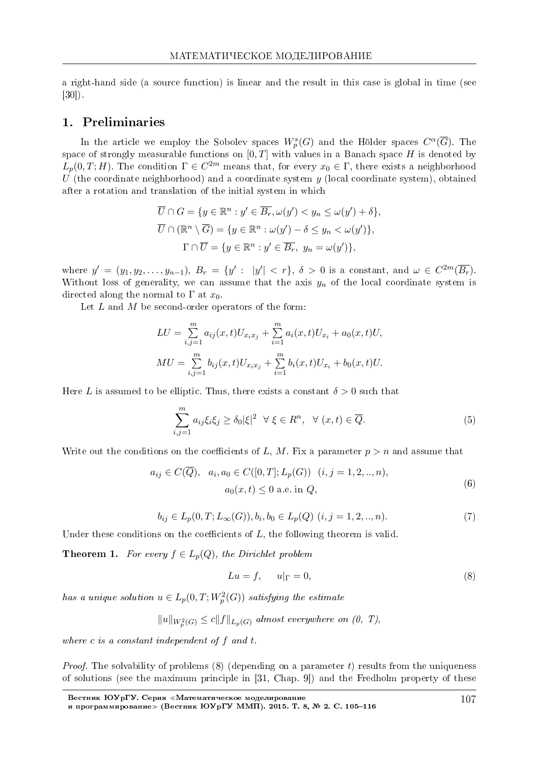a right-hand side (a source function) is linear and the result in this case is global in time (see  $[30]$ .

## 1. Preliminaries

In the article we employ the Sobolev spaces  $W_p^s(G)$  and the Hölder spaces  $C^{\alpha}(\overline{G})$ . The space of strongly measurable functions on  $[0, T]$  with values in a Banach space H is denoted by  $L_p(0,T;H)$ . The condition  $\Gamma \in C^{2m}$  means that, for every  $x_0 \in \Gamma$ , there exists a neighborhood U (the coordinate neighborhood) and a coordinate system y (local coordinate system), obtained after a rotation and translation of the initial system in which

$$
\overline{U} \cap G = \{ y \in \mathbb{R}^n : y' \in \overline{B_r}, \omega(y') < y_n \le \omega(y') + \delta \},
$$
\n
$$
\overline{U} \cap (\mathbb{R}^n \setminus \overline{G}) = \{ y \in \mathbb{R}^n : \omega(y') - \delta \le y_n < \omega(y') \},
$$
\n
$$
\Gamma \cap \overline{U} = \{ y \in \mathbb{R}^n : y' \in \overline{B_r}, y_n = \omega(y') \},
$$

where  $y' = (y_1, y_2, \ldots, y_{n-1}), B_r = \{y' : |y'| < r\}, \delta > 0$  is a constant, and  $\omega \in C^{2m}(\overline{B_r}).$ Without loss of generality, we can assume that the axis  $y_n$  of the local coordinate system is directed along the normal to  $\Gamma$  at  $x_0$ .

Let  $L$  and  $M$  be second-order operators of the form:

$$
LU = \sum_{i,j=1}^{m} a_{ij}(x,t)U_{x_ix_j} + \sum_{i=1}^{m} a_i(x,t)U_{x_i} + a_0(x,t)U,
$$
  
\n
$$
MU = \sum_{i,j=1}^{m} b_{ij}(x,t)U_{x_ix_j} + \sum_{i=1}^{m} b_i(x,t)U_{x_i} + b_0(x,t)U.
$$

Here L is assumed to be elliptic. Thus, there exists a constant  $\delta > 0$  such that

$$
\sum_{i,j=1}^{m} a_{ij} \xi_i \xi_j \ge \delta_0 |\xi|^2 \quad \forall \xi \in R^n, \quad \forall (x,t) \in \overline{Q}.
$$
 (5)

Write out the conditions on the coefficients of L, M. Fix a parameter  $p > n$  and assume that

$$
a_{ij} \in C(\overline{Q}), \quad a_i, a_0 \in C([0, T]; L_p(G)) \quad (i, j = 1, 2, ..., n),
$$

$$
a_0(x, t) \le 0 \text{ a.e. in } Q,
$$

$$
(6)
$$

$$
b_{ij} \in L_p(0, T; L_\infty(G)), b_i, b_0 \in L_p(Q) \ (i, j = 1, 2, ..., n). \tag{7}
$$

Under these conditions on the coefficients of  $L$ , the following theorem is valid.

**Theorem 1.** For every  $f \in L_p(Q)$ , the Dirichlet problem

$$
Lu = f, \qquad u|_{\Gamma} = 0,\tag{8}
$$

has a unique solution  $u \in L_p(0,T;W_p^2(G))$  satisfying the estimate

 $||u||_{W_n^2(G)} \le c||f||_{L_n(G)}$  almost everywhere on  $(0, T)$ ,

where c is a constant independent of  $f$  and  $t$ .

*Proof.* The solvability of problems  $(8)$  (depending on a parameter t) results from the uniqueness of solutions (see the maximum principle in [31, Chap. 9]) and the Fredholm property of these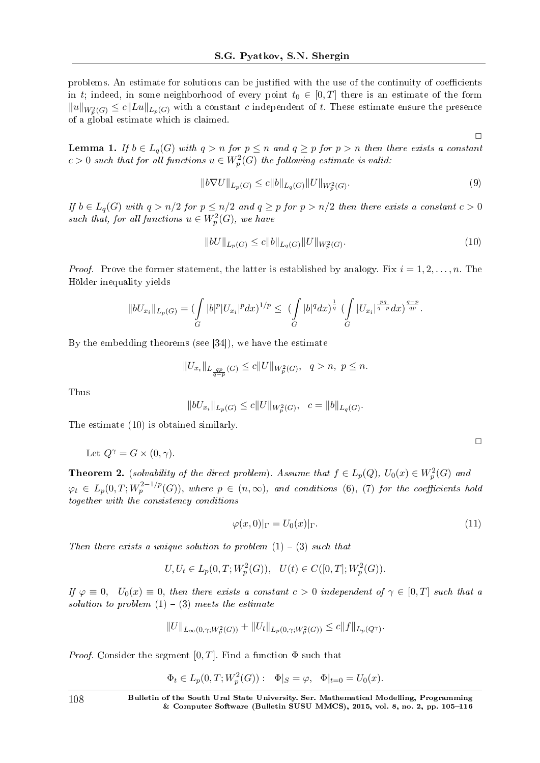problems. An estimate for solutions can be justified with the use of the continuity of coefficients in *t*; indeed, in some neighborhood of every point  $t_0 \in [0, T]$  there is an estimate of the form  $||u||_{W_p^2(G)}$  ≤ *c* $||Lu||_{L_p(G)}$  with a constant *c* independent of *t*. These estimate ensure the presence of a global estimate which is claimed.

**Lemma 1.** If *b* ∈  $L_q(G)$  with  $q > n$  for  $p ≤ n$  and  $q ≥ p$  for  $p > n$  then there exists a constant  $c > 0$  such that for all functions  $u \in W_p^2(G)$  the following estimate is valid:

$$
||b\nabla U||_{L_p(G)} \le c||b||_{L_q(G)}||U||_{W_p^2(G)}.
$$
\n(9)

*If b* ∈ *L*<sub>*q*</sub>(*G*) with *q* > *n*/2 for *p* ≤ *n*/2 and *q* ≥ *p* for *p* > *n*/2 then there exists a constant *c* > 0 such that, for all functions  $u \in W_p^2(G)$ , we have

$$
||bU||_{L_p(G)} \le c||b||_{L_q(G)} ||U||_{W_p^2(G)}.
$$
\n(10)

*Proof.* Prove the former statement, the latter is established by analogy. Fix  $i = 1, 2, \ldots, n$ . The Hölder inequality yields

$$
||bU_{x_i}||_{L_p(G)} = (\int_G |b|^p |U_{x_i}|^p dx)^{1/p} \leq (\int_G |b|^q dx)^{\frac{1}{q}} (\int_G |U_{x_i}|^{\frac{pq}{q-p}} dx)^{\frac{q-p}{qp}}.
$$

By the embedding theorems (see [34]), we have the estimate

$$
\|U_{x_i}\|_{L_{\frac{qp}{q-p}}(G)}\leq c\|U\|_{W^2_p(G)},\ \ q>n,\ p\leq n.
$$

Thus

$$
||bU_{x_i}||_{L_p(G)} \le c||U||_{W_p^2(G)}, \quad c = ||b||_{L_q(G)}.
$$

The estimate (10) is obtained similarly.

Let 
$$
Q^{\gamma} = G \times (0, \gamma)
$$
.

**Theorem 2.** (solvability of the direct problem). Assume that  $f \in L_p(Q)$ ,  $U_0(x) \in W_p^2(G)$  and  $\varphi_t \in L_p(0,T; W_p^{2-1/p}(G))$ , where  $p \in (n,\infty)$ , and conditions (6), (7) for the coefficients hold together with the consistency conditions

$$
\varphi(x,0)|_{\Gamma} = U_0(x)|_{\Gamma}.\tag{11}
$$

Then there exists a unique solution to problem  $(1) - (3)$  such that

$$
U, U_t \in L_p(0, T; W_p^2(G)), \quad U(t) \in C([0, T]; W_p^2(G)).
$$

If  $\varphi \equiv 0$ ,  $U_0(x) \equiv 0$ , then there exists a constant  $c > 0$  independent of  $\gamma \in [0, T]$  such that a solution to problem  $(1) - (3)$  meets the estimate

$$
||U||_{L_{\infty}(0,\gamma;W_p^2(G))} + ||U_t||_{L_p(0,\gamma;W_p^2(G))} \leq c||f||_{L_p(Q^{\gamma})}.
$$

*Proof.* Consider the segment  $[0, T]$ . Find a function  $\Phi$  such that

$$
\Phi_t \in L_p(0,T;W_p^2(G))
$$
:  $\Phi|_S = \varphi$ ,  $\Phi|_{t=0} = U_0(x)$ .

 $\Box$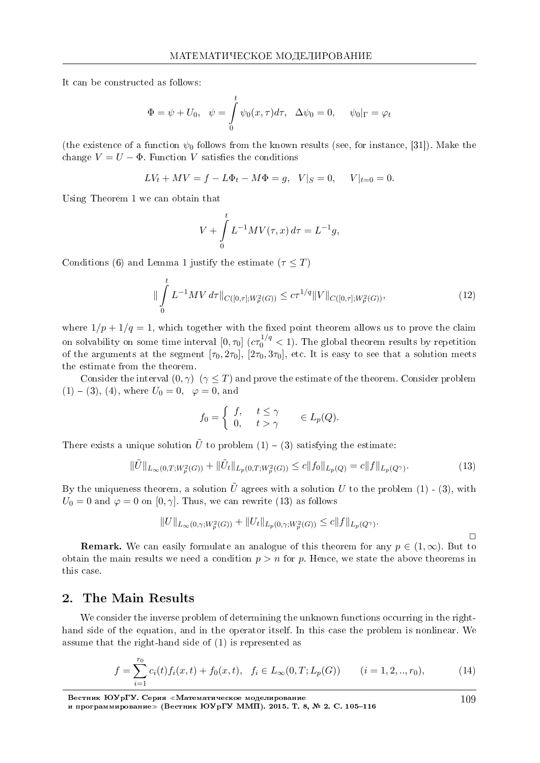It can be constructed as follows:

$$
\Phi = \psi + U_0, \quad \psi = \int_0^t \psi_0(x, \tau) d\tau, \quad \Delta \psi_0 = 0, \quad \psi_0|_{\Gamma} = \varphi_t
$$

(the existence of a function  $\psi_0$  follows from the known results (see, for instance, [31]). Make the change  $V = U - \Phi$ . Function *V* satisfies the conditions

$$
LV_t + MV = f - L\Phi_t - M\Phi = g, \quad V|_S = 0, \quad V|_{t=0} = 0.
$$

Using Theorem 1 we can obtain that

$$
V + \int_{0}^{t} L^{-1}MV(\tau, x) d\tau = L^{-1}g,
$$

Conditions (6) and Lemma 1 justify the estimate ( $\tau \leq T$ )

$$
\|\int_{0}^{t} L^{-1}MV \,d\tau\|_{C([0,\tau];W_p^2(G))} \leq c\tau^{1/q} \|V\|_{C([0,\tau];W_p^2(G))},\tag{12}
$$

where  $1/p + 1/q = 1$ , which together with the fixed point theorem allows us to prove the claim on solvability on some time interval  $[0, \tau_0]$   $(c\tau_0^{1/q} < 1)$ . The global theorem results by repetition of the arguments at the segment  $[\tau_0, 2\tau_0]$ ,  $[2\tau_0, 3\tau_0]$ , etc. It is easy to see that a solution meets the estimate from the theorem.

Consider the interval  $(0, \gamma)$   $(\gamma \leq T)$  and prove the estimate of the theorem. Consider problem  $(1) - (3)$ , (4), where  $U_0 = 0$ ,  $\varphi = 0$ , and

$$
f_0 = \begin{cases} f, & t \le \gamma \\ 0, & t > \gamma \end{cases} \in L_p(Q).
$$

There exists a unique solution  $\tilde{U}$  to problem (1) – (3) satisfying the estimate:

$$
\|\tilde{U}\|_{L_{\infty}(0,T;W_p^2(G))} + \|\tilde{U}_t\|_{L_p(0,T;W_p^2(G))} \le c \|f_0\|_{L_p(Q)} = c \|f\|_{L_p(Q^{\gamma})}.
$$
\n(13)

By the uniqueness theorem, a solution  $\tilde{U}$  agrees with a solution *U* to the problem (1) - (3), with  $U_0 = 0$  and  $\varphi = 0$  on [0,  $\gamma$ ]. Thus, we can rewrite (13) as follows

$$
||U||_{L_{\infty}(0,\gamma;W_p^2(G))} + ||U_t||_{L_p(0,\gamma;W_p^2(G))} \leq c||f||_{L_p(Q^{\gamma})}.
$$

 $\Box$ 

**Remark.** We can easily formulate an analogue of this theorem for any  $p \in (1,\infty)$ . But to obtain the main results we need a condition  $p > n$  for p. Hence, we state the above theorems in this case.

## 2. The Main Results

We consider the inverse problem of determining the unknown functions occurring in the righthand side of the equation, and in the operator itself. In this case the problem is nonlinear. We assume that the right-hand side of (1) is represented as

$$
f = \sum_{i=1}^{r_0} c_i(t) f_i(x, t) + f_0(x, t), \quad f_i \in L_\infty(0, T; L_p(G)) \qquad (i = 1, 2, ..., r_0), \tag{14}
$$

109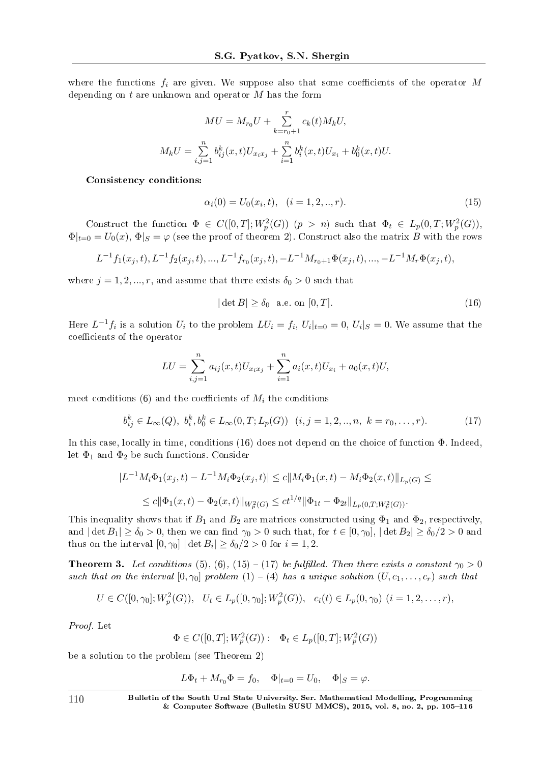where the functions  $f_i$  are given. We suppose also that some coefficients of the operator  $M$ depending on *t* are unknown and operator *M* has the form

$$
MU = M_{r_0}U + \sum_{k=r_0+1}^{r} c_k(t)M_kU,
$$
  

$$
M_kU = \sum_{i,j=1}^{n} b_{ij}^k(x,t)U_{x_ix_j} + \sum_{i=1}^{n} b_i^k(x,t)U_{x_i} + b_0^k(x,t)U.
$$

### Consistency conditions:

$$
\alpha_i(0) = U_0(x_i, t), \quad (i = 1, 2, \dots, r). \tag{15}
$$

Construct the function  $\Phi \in C([0,T]; W_p^2(G))$   $(p > n)$  such that  $\Phi_t \in L_p(0,T; W_p^2(G))$ ,  $\Phi|_{t=0} = U_0(x)$ ,  $\Phi|_S = \varphi$  (see the proof of theorem 2). Construct also the matrix *B* with the rows

$$
L^{-1}f_1(x_j,t), L^{-1}f_2(x_j,t),..., L^{-1}f_{r_0}(x_j,t), -L^{-1}M_{r_0+1}\Phi(x_j,t),..., -L^{-1}M_r\Phi(x_j,t),
$$

where  $j = 1, 2, ..., r$ , and assume that there exists  $\delta_0 > 0$  such that

$$
|\det B| \ge \delta_0 \quad \text{a.e. on } [0, T]. \tag{16}
$$

Here  $L^{-1}f_i$  is a solution  $U_i$  to the problem  $LU_i = f_i$ ,  $U_i|_{t=0} = 0$ ,  $U_i|_S = 0$ . We assume that the coefficients of the operator

$$
LU = \sum_{i,j=1}^{n} a_{ij}(x,t)U_{x_ix_j} + \sum_{i=1}^{n} a_i(x,t)U_{x_i} + a_0(x,t)U,
$$

meet conditions  $(6)$  and the coefficients of  $M_i$  the conditions

$$
b_{ij}^k \in L_{\infty}(Q), \ b_i^k, b_0^k \in L_{\infty}(0, T; L_p(G)) \ (i, j = 1, 2, ..., n, \ k = r_0, ..., r). \tag{17}
$$

In this case, locally in time, conditions (16) does not depend on the choice of function Φ. Indeed, let  $\Phi_1$  and  $\Phi_2$  be such functions. Consider

$$
|L^{-1}M_i\Phi_1(x_j,t) - L^{-1}M_i\Phi_2(x_j,t)| \le c \|M_i\Phi_1(x,t) - M_i\Phi_2(x,t)\|_{L_p(G)} \le
$$
  

$$
\le c \|\Phi_1(x,t) - \Phi_2(x,t)\|_{W_p^2(G)} \le ct^{1/q} \|\Phi_{1t} - \Phi_{2t}\|_{L_p(0,T;W_p^2(G))}.
$$

This inequality shows that if  $B_1$  and  $B_2$  are matrices constructed using  $\Phi_1$  and  $\Phi_2$ , respectively, and  $|\det B_1| \ge \delta_0 > 0$ , then we can find  $\gamma_0 > 0$  such that, for  $t \in [0, \gamma_0]$ ,  $|\det B_2| \ge \delta_0/2 > 0$  and thus on the interval  $[0, \gamma_0]$   $|\det B_i| \ge \delta_0/2 > 0$  for  $i = 1, 2$ .

**Theorem 3.** Let conditions (5), (6), (15) – (17) be fulfilled. Then there exists a constant  $\gamma_0 > 0$ such that on the interval  $[0, \gamma_0]$  problem  $(1) - (4)$  has a unique solution  $(U, c_1, \ldots, c_r)$  such that

$$
U \in C([0,\gamma_0]; W_p^2(G)), \quad U_t \in L_p([0,\gamma_0]; W_p^2(G)), \quad c_i(t) \in L_p(0,\gamma_0) \ (i=1,2,\ldots,r),
$$

Proof. Let

$$
\Phi \in C([0,T]; W_p^2(G)): \quad \Phi_t \in L_p([0,T]; W_p^2(G))
$$

be a solution to the problem (see Theorem 2)

$$
L\Phi_t + M_{r_0}\Phi = f_0, \quad \Phi|_{t=0} = U_0, \quad \Phi|_S = \varphi.
$$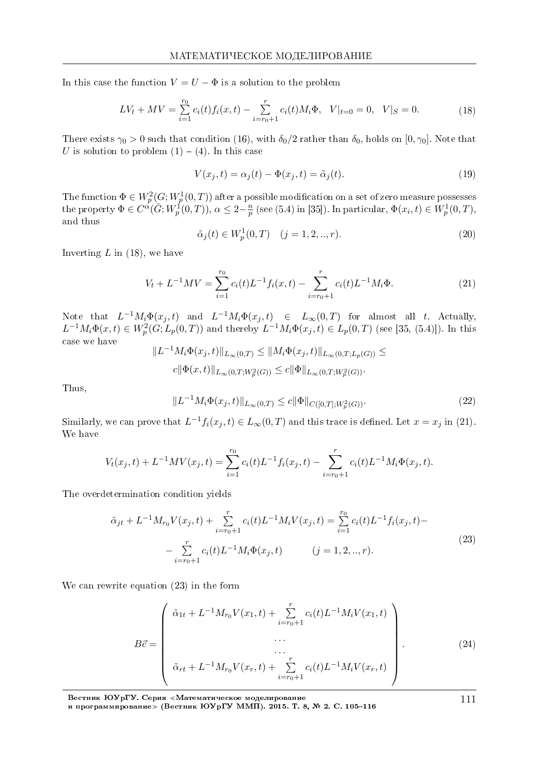In this case the function  $V = U - \Phi$  is a solution to the problem

$$
LV_t + MV = \sum_{i=1}^{r_0} c_i(t) f_i(x,t) - \sum_{i=r_0+1}^{r} c_i(t) M_i \Phi, \quad V|_{t=0} = 0, \quad V|_{S} = 0. \tag{18}
$$

There exists  $\gamma_0 > 0$  such that condition (16), with  $\delta_0/2$  rather than  $\delta_0$ , holds on  $[0, \gamma_0]$ . Note that U is solution to problem  $(1) - (4)$ . In this case

$$
V(x_j, t) = \alpha_j(t) - \Phi(x_j, t) = \tilde{\alpha}_j(t). \tag{19}
$$

The function  $\Phi \in W_p^2(G; W_p^1(0,T))$  after a possible modification on a set of zero measure possesses<br>the property  $\Phi \in C^{\alpha}(\bar{G}; W_p^1(0,T)), \alpha \leq 2-\frac{n}{p}$  (see (5.4) in [35]). In particular,  $\Phi(x_i, t) \in W_p^1(0,T)$ , and thus

$$
\tilde{\alpha}_j(t) \in W^1_p(0, T) \quad (j = 1, 2, ..., r). \tag{20}
$$

Inverting  $L$  in (18), we have

$$
V_t + L^{-1}MV = \sum_{i=1}^{r_0} c_i(t)L^{-1}f_i(x,t) - \sum_{i=r_0+1}^{r} c_i(t)L^{-1}M_i\Phi.
$$
 (21)

Note that  $L^{-1}M_i\Phi(x_j,t)$  and  $L^{-1}M_i\Phi(x_j,t) \in L_{\infty}(0,T)$  for almost all t. Actually,<br> $L^{-1}M_i\Phi(x,t) \in W_p^2(G;L_p(0,T))$  and thereby  $L^{-1}M_i\Phi(x_j,t) \in L_p(0,T)$  (see [35, (5.4)]). In this case we have

$$
||L^{-1}M_i\Phi(x_j,t)||_{L_{\infty}(0,T)} \leq ||M_i\Phi(x_j,t)||_{L_{\infty}(0,T;L_p(G))} \leq
$$
  

$$
c||\Phi(x,t)||_{L_{\infty}(0,T;W_p^2(G))} \leq c||\Phi||_{L_{\infty}(0,T;W_p^2(G))}.
$$

Thus,

$$
||L^{-1}M_i\Phi(x_j,t)||_{L_{\infty}(0,T)} \leq c||\Phi||_{C([0,T];W_p^2(G))}.
$$
\n(22)

Similarly, we can prove that  $L^{-1}f_i(x_j,t) \in L_\infty(0,T)$  and this trace is defined. Let  $x = x_j$  in (21). We have

$$
V_t(x_j, t) + L^{-1}MV(x_j, t) = \sum_{i=1}^{r_0} c_i(t)L^{-1}f_i(x_j, t) - \sum_{i=r_0+1}^{r} c_i(t)L^{-1}M_i\Phi(x_j, t).
$$

The overdetermination condition yields

$$
\tilde{\alpha}_{jt} + L^{-1} M_{r_0} V(x_j, t) + \sum_{i=r_0+1}^r c_i(t) L^{-1} M_i V(x_j, t) = \sum_{i=1}^{r_0} c_i(t) L^{-1} f_i(x_j, t) - \sum_{i=r_0+1}^r c_i(t) L^{-1} M_i \Phi(x_j, t) \qquad (j = 1, 2, ..., r).
$$
\n(23)

We can rewrite equation  $(23)$  in the form

$$
B\vec{c} = \begin{pmatrix} \tilde{\alpha}_{1t} + L^{-1}M_{r_0}V(x_1, t) + \sum_{i=r_0+1}^r c_i(t)L^{-1}M_iV(x_1, t) \\ \cdots \\ \tilde{\alpha}_{rt} + L^{-1}M_{r_0}V(x_r, t) + \sum_{i=r_0+1}^r c_i(t)L^{-1}M_iV(x_r, t) \end{pmatrix} .
$$
 (24)

Вестник ЮУрГУ. Серия «Математическое моделирование<br>и программирование» (Вестник ЮУрГУ ММП). 2015. Т. 8, № 2. С. 105–116

111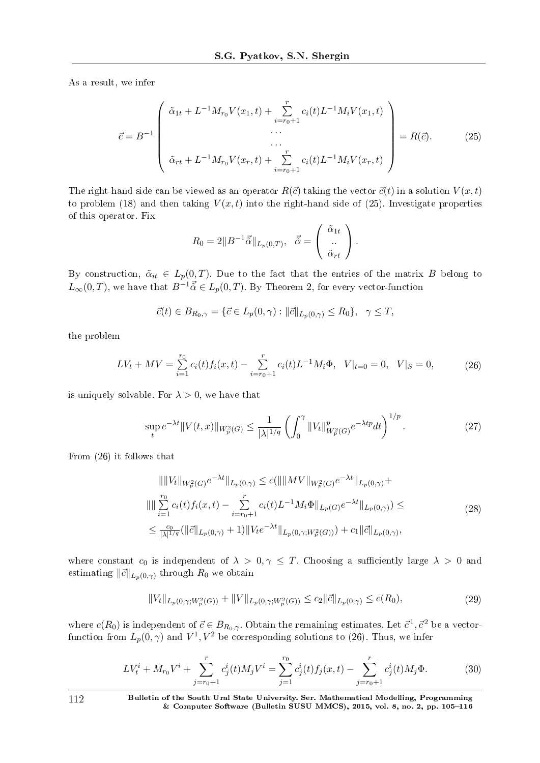As a result, we infer

$$
\vec{c} = B^{-1} \begin{pmatrix} \tilde{\alpha}_{1t} + L^{-1} M_{r_0} V(x_1, t) + \sum_{i=r_0+1}^r c_i(t) L^{-1} M_i V(x_1, t) \\ \cdots \\ \tilde{\alpha}_{rt} + L^{-1} M_{r_0} V(x_r, t) + \sum_{i=r_0+1}^r c_i(t) L^{-1} M_i V(x_r, t) \end{pmatrix} = R(\vec{c}). \tag{25}
$$

The right-hand side can be viewed as an operator  $R(\vec{c})$  taking the vector  $\vec{c}(t)$  in a solution  $V(x,t)$ to problem (18) and then taking  $V(x,t)$  into the right-hand side of (25). Investigate properties of this operator. Fix

$$
R_0 = 2||B^{-1}\vec{\tilde{\alpha}}||_{L_p(0,T)}, \quad \vec{\tilde{\alpha}} = \begin{pmatrix} \tilde{\alpha}_{1t} \\ \vdots \\ \tilde{\alpha}_{rt} \end{pmatrix}.
$$

By construction,  $\tilde{\alpha}_{it} \in L_p(0,T)$ . Due to the fact that the entries of the matrix *B* belong to *L*<sub>∞</sub>(0*,T*), we have that  $B^{-1}\vec{\alpha} \in L_p(0,T)$ . By Theorem 2, for every vector-function

$$
\vec{c}(t) \in B_{R_0, \gamma} = \{ \vec{c} \in L_p(0, \gamma) : ||\vec{c}||_{L_p(0, \gamma)} \le R_0 \}, \quad \gamma \le T,
$$

the problem

$$
LV_t + MV = \sum_{i=1}^{r_0} c_i(t) f_i(x,t) - \sum_{i=r_0+1}^{r} c_i(t) L^{-1} M_i \Phi, \quad V|_{t=0} = 0, \quad V|_{S} = 0,
$$
 (26)

is uniquely solvable. For  $\lambda > 0$ , we have that

$$
\sup_{t} e^{-\lambda t} \|V(t, x)\|_{W_p^2(G)} \le \frac{1}{|\lambda|^{1/q}} \left(\int_0^\gamma \|V_t\|_{W_p^2(G)}^p e^{-\lambda t p} dt\right)^{1/p}.
$$
 (27)

From (26) it follows that

$$
\| \|V_t\|_{W_p^2(G)} e^{-\lambda t} \|_{L_p(0,\gamma)} \le c (\| \|MV\|_{W_p^2(G)} e^{-\lambda t} \|_{L_p(0,\gamma)} +
$$
  

$$
\| \| \sum_{i=1}^{r_0} c_i(t) f_i(x,t) - \sum_{i=r_0+1}^r c_i(t) L^{-1} M_i \Phi \|_{L_p(G)} e^{-\lambda t} \|_{L_p(0,\gamma)} \le
$$
  

$$
\le \frac{c_0}{|\lambda|^{1/q}} (\| \vec{c} \|_{L_p(0,\gamma)} + 1) \| V_t e^{-\lambda t} \|_{L_p(0,\gamma;W_p^2(G))}) + c_1 \| \vec{c} \|_{L_p(0,\gamma)},
$$
 (28)

where constant  $c_0$  is independent of  $\lambda > 0, \gamma \leq T$ . Choosing a sufficiently large  $\lambda > 0$  and estimating  $\|\vec{c}\|_{L_p(0,\gamma)}$  through  $R_0$  we obtain

$$
||V_t||_{L_p(0,\gamma;W_p^2(G))} + ||V||_{L_p(0,\gamma;W_p^2(G))} \le c_2 ||\vec{c}||_{L_p(0,\gamma)} \le c(R_0),
$$
\n(29)

where  $c(R_0)$  is independent of  $\vec{c} \in B_{R_0,\gamma}$ . Obtain the remaining estimates. Let  $\vec{c}^1, \vec{c}^2$  be a vectorfunction from  $L_p(0,\gamma)$  and  $V^1,V^2$  be corresponding solutions to (26). Thus, we infer

$$
LV_t^i + M_{r_0}V^i + \sum_{j=r_0+1}^r c_j^i(t)M_jV^i = \sum_{j=1}^{r_0} c_j^i(t)f_j(x,t) - \sum_{j=r_0+1}^r c_j^i(t)M_j\Phi.
$$
 (30)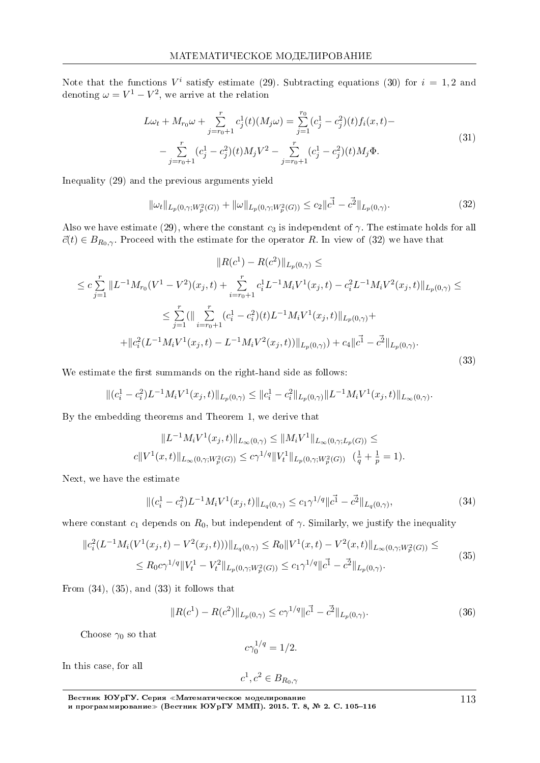Note that the functions  $V^i$  satisfy estimate (29). Subtracting equations (30) for  $i = 1, 2$  and denoting  $\omega = V^1 - V^2$ , we arrive at the relation

$$
L\omega_t + M_{r_0}\omega + \sum_{j=r_0+1}^r c_j^1(t)(M_j\omega) = \sum_{j=1}^{r_0} (c_j^1 - c_j^2)(t)f_i(x, t) -
$$
  

$$
-\sum_{j=r_0+1}^r (c_j^1 - c_j^2)(t)M_jV^2 - \sum_{j=r_0+1}^r (c_j^1 - c_j^2)(t)M_j\Phi.
$$
 (31)

Inequality (29) and the previous arguments yield

$$
\|\omega_t\|_{L_p(0,\gamma;W_p^2(G))} + \|\omega\|_{L_p(0,\gamma;W_p^2(G))} \le c_2 \|\vec{c}^1 - \vec{c}^2\|_{L_p(0,\gamma)}.
$$
\n(32)

Also we have estimate (29), where the constant  $c_3$  is independent of  $\gamma$ . The estimate holds for all  $\vec{c}(t) \in B_{R_0,\gamma}$ . Proceed with the estimate for the operator *R*. In view of (32) we have that

$$
||R(c^{1}) - R(c^{2})||_{L_{p}(0,\gamma)} \le
$$
  
\n
$$
\leq c \sum_{j=1}^{r} ||L^{-1}M_{r_{0}}(V^{1} - V^{2})(x_{j}, t) + \sum_{i=r_{0}+1}^{r} c_{i}^{1} L^{-1}M_{i}V^{1}(x_{j}, t) - c_{i}^{2} L^{-1}M_{i}V^{2}(x_{j}, t)||_{L_{p}(0,\gamma)} \le
$$
  
\n
$$
\leq \sum_{j=1}^{r} (||\sum_{i=r_{0}+1}^{r} (c_{i}^{1} - c_{i}^{2})(t)L^{-1}M_{i}V^{1}(x_{j}, t)||_{L_{p}(0,\gamma)} + ||c_{i}^{2}(L^{-1}M_{i}V^{1}(x_{j}, t) - L^{-1}M_{i}V^{2}(x_{j}, t))||_{L_{p}(0,\gamma)}) + c_{4}||c^{1} - c^{2}||_{L_{p}(0,\gamma)}.
$$
\n(33)

We estimate the first summands on the right-hand side as follows:

$$
||(c_i^1 - c_i^2)L^{-1}M_iV^1(x_j, t)||_{L_p(0, \gamma)} \le ||c_i^1 - c_i^2||_{L_p(0, \gamma)}||L^{-1}M_iV^1(x_j, t)||_{L_\infty(0, \gamma)}.
$$

By the embedding theorems and Theorem 1, we derive that

$$
||L^{-1}M_iV^1(x_j,t)||_{L_{\infty}(0,\gamma)} \le ||M_iV^1||_{L_{\infty}(0,\gamma;L_p(G))} \le
$$
  

$$
c||V^1(x,t)||_{L_{\infty}(0,\gamma;W^2_p(G))} \le c\gamma^{1/q}||V^1_t||_{L_p(0,\gamma;W^2_p(G))} \quad (\frac{1}{q} + \frac{1}{p} = 1).
$$

Next, we have the estimate

$$
\|(c_i^1 - c_i^2)L^{-1}M_iV^1(x_j, t)\|_{L_q(0, \gamma)} \le c_1\gamma^{1/q} \|c_1^1 - c_2^2\|_{L_q(0, \gamma)},
$$
\n(34)

where constant  $c_1$  depends on  $R_0$ , but independent of  $\gamma$ . Similarly, we justify the inequality

$$
||c_i^2(L^{-1}M_i(V^1(x_j,t)-V^2(x_j,t)))||_{L_q(0,\gamma)} \le R_0||V^1(x,t)-V^2(x,t)||_{L_\infty(0,\gamma;W_p^2(G))} \le
$$
  
 
$$
\le R_0c\gamma^{1/q}||V_t^1-V_t^2||_{L_p(0,\gamma;W_p^2(G))} \le c_1\gamma^{1/q}||\vec{c}^1-\vec{c}^2||_{L_p(0,\gamma)}.
$$
 (35)

From  $(34)$ ,  $(35)$ , and  $(33)$  it follows that

$$
||R(c1) - R(c2)||_{L_p(0,\gamma)} \le c\gamma^{1/q} ||c1 - c2||_{L_p(0,\gamma)}.
$$
\n(36)

Choose  $\gamma_0$  so that

$$
c\gamma_0^{1/q} = 1/2.
$$

In this case, for all

$$
c^1, c^2 \in B_{R_0, \gamma}
$$

Вестник ЮУрГУ. Серия «Математическое моделирование и программирование≫ (Вестник ЮУрГУ ММП). 2015. Т. 8, № 2. C. 105–116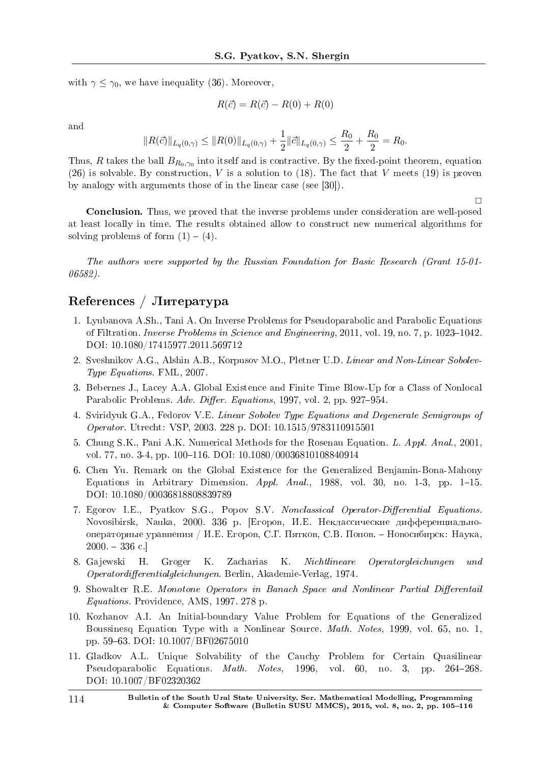with  $\gamma \leq \gamma_0$ , we have inequality (36). Moreover,

$$
R(\vec{c}) = R(\vec{c}) - R(0) + R(0)
$$

and

$$
||R(\vec{c})||_{L_q(0,\gamma)} \le ||R(0)||_{L_q(0,\gamma)} + \frac{1}{2}||\vec{c}||_{L_q(0,\gamma)} \le \frac{R_0}{2} + \frac{R_0}{2} = R_0.
$$

Thus, *R* takes the ball  $B_{R_0,\gamma_0}$  into itself and is contractive. By the fixed-point theorem, equation (26) is solvable. By construction, *V* is a solution to (18). The fact that *V* meets (19) is proven by analogy with arguments those of in the linear case (see [30]).

 $\Box$ 

Conclusion. Thus, we proved that the inverse problems under consideration are well-posed at least locally in time. The results obtained allow to construct new numerical algorithms for solving problems of form  $(1) - (4)$ .

The authors were supported by the Russian Foundation for Basic Research (Grant 15-01- 06582).

# $Ref$ erences / Литература

- 1. Lyubanova A.Sh., Tani A. On Inverse Problems for Pseudoparabolic and Parabolic Equations of Filtration. Inverse Problems in Science and Engineering, 2011, vol. 19, no. 7, p. 1023–1042. DOI: 10.1080/17415977.2011.569712
- 2. Sveshnikov A.G., Alshin A.B., Korpusov M.O., Pletner U.D. *Linear and Non-Linear Sobolev-*Type Equations. FML, 2007.
- 3. Bebernes J., Lacey A.A. Global Existence and Finite Time Blow-Up for a Class of Nonlocal Parabolic Problems. Adv. Differ. Equations, 1997, vol. 2, pp. 927-954.
- 4. Sviridyuk G.A., Fedorov V.E. Linear Sobolev Type Equations and Degenerate Semigroups of Operator. Utrecht: VSP, 2003. 228 p. DOI: 10.1515/9783110915501
- 5. Chung S.K., Pani A.K. Numerical Methods for the Rosenau Equation. L. Appl. Anal., 2001, vol. 77, no. 3-4, pp. 100-116. DOI: 10.1080/00036810108840914
- 6. Chen Yu. Remark on the Global Existence for the Generalized Benjamin-Bona-Mahony Equations in Arbitrary Dimension.  $Appl.$  Anal., 1988, vol. 30, no. 1-3, pp. 1-15. DOI: 10.1080/00036818808839789
- 7. Egorov I.E., Pyatkov S.G., Popov S.V. Nonclassical Operator-Differential Equations. Novosibirsk, Nauka, 2000. 336 p. [Егоров, И.Е. Неклассические дифференциальнооператорные уравнения / И.Е. Егоров, С.Г. Пятков, С.В. Попов. – Новосибирск: Наука,  $2000. - 336$  c.]
- 8. Gajewski H. Groger K. Zacharias K. Nichtlineare Operatorgleichungen und Operatordifferentialgleichungen. Berlin, Akademie-Verlag, 1974.
- 9. Showalter R.E. Monotone Operators in Banach Space and Nonlinear Partial Differentail Equations. Providence, AMS, 1997. 278 p.
- 10. Kozhanov A.I. An Initial-boundary Value Problem for Equations of the Generalized Boussinesq Equation Type with a Nonlinear Source. Math. Notes, 1999, vol. 65, no. 1, pp. 5963. DOI: 10.1007/BF02675010
- 11. Gladkov A.L. Unique Solvability of the Cauchy Problem for Certain Quasilinear Pseudoparabolic Equations. *Math. Notes*, 1996, vol. 60, no. 3, pp.  $264-268$ . DOI: 10.1007/BF02320362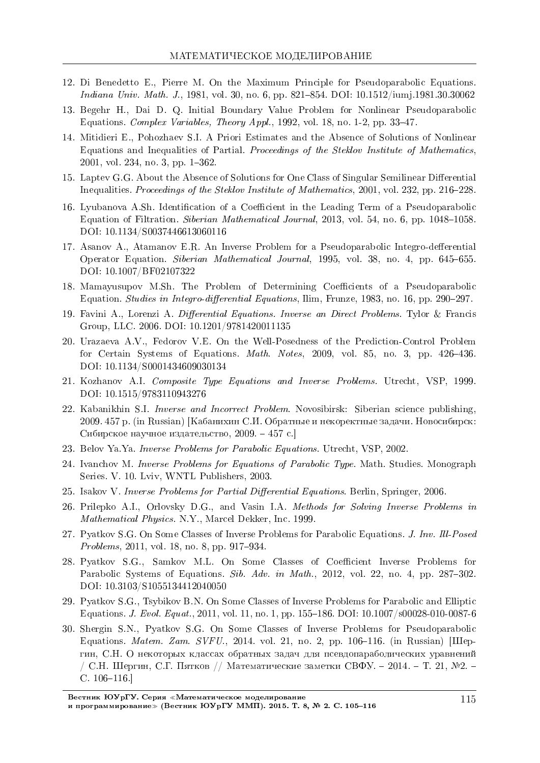- 12. Di Benedetto E., Pierre M. On the Maximum Principle for Pseudoparabolic Equations. Indiana Univ. Math. J., 1981, vol. 30, no. 6, pp. 821–854. DOI: 10.1512/jumj.1981.30.30062
- 13. Begehr H., Dai D. Q. Initial Boundary Value Problem for Nonlinear Pseudoparabolic Equations. Complex Variables, Theory Appl., 1992, vol. 18, no. 1-2, pp. 33-47.
- 14. Mitidieri E., Pohozhaev S.I. A Priori Estimates and the Absence of Solutions of Nonlinear Equations and Inequalities of Partial. Proceedings of the Steklov Institute of Mathematics, 2001, vol. 234, no. 3, pp. 1-362.
- 15. Laptev G.G. About the Absence of Solutions for One Class of Singular Semilinear Differential Inequalities. Proceedings of the Steklov Institute of Mathematics, 2001, vol. 232, pp. 216–228.
- 16. Lyubanova A.Sh. Identification of a Coefficient in the Leading Term of a Pseudoparabolic Equation of Filtration. Siberian Mathematical Journal, 2013, vol. 54, no. 6, pp.  $1048-1058$ . DOI: 10.1134/S0037446613060116
- 17. Asanov A., Atamanov E.R. An Inverse Problem for a Pseudoparabolic Integro-defferential Operator Equation. Siberian Mathematical Journal, 1995, vol. 38, no. 4, pp. 645–655. DOI: 10.1007/BF02107322
- 18. Mamayusupov M.Sh. The Problem of Determining Coefficients of a Pseudoparabolic Equation. Studies in Integro-differential Equations, Ilim, Frunze, 1983, no. 16, pp. 290–297.
- 19. Favini A., Lorenzi A. Differential Equations. Inverse an Direct Problems. Tylor & Francis Group, LLC. 2006. DOI: 10.1201/9781420011135
- 20. Urazaeva A.V., Fedorov V.E. On the Well-Posedness of the Prediction-Control Problem for Certain Systems of Equations. *Math. Notes*, 2009, vol. 85, no. 3, pp.  $426-436$ . DOI: 10.1134/S0001434609030134
- 21. Kozhanov A.I. Composite Type Equations and Inverse Problems. Utrecht, VSP, 1999. DOI: 10.1515/9783110943276
- 22. Kabanikhin S.I. Inverse and Incorrect Problem. Novosibirsk: Siberian science publishing, 2009.  $457$ р. (in Russian) [Кабанихин С.И. Обратные и некоректные задачи. Новосибирск: Сибирское научное издательство, 2009. – 457 с.]
- 23. Belov Ya.Ya. Inverse Problems for Parabolic Equations. Utrecht, VSP, 2002.
- 24. Ivanchov M. Inverse Problems for Equations of Parabolic Type. Math. Studies. Monograph Series. V. 10. Lviv, WNTL Publishers, 2003.
- 25. Isakov V. Inverse Problems for Partial Differential Equations. Berlin, Springer, 2006.
- 26. Prilepko A.I., Orlovsky D.G., and Vasin I.A. Methods for Solving Inverse Problems in Mathematical Physics. N.Y., Marcel Dekker, Inc. 1999.
- 27. Pyatkov S.G. On Some Classes of Inverse Problems for Parabolic Equations. J. Inv. Ill-Posed Problems, 2011, vol. 18, no. 8, pp. 917-934.
- 28. Pyatkov S.G., Samkov M.L. On Some Classes of Coefficient Inverse Problems for Parabolic Systems of Equations. Sib. Adv. in Math., 2012, vol. 22, no. 4, pp.  $287-302$ . DOI: 10.3103/S1055134412040050
- 29. Pyatkov S.G., Tsybikov B.N. On Some Classes of Inverse Problems for Parabolic and Elliptic Equations. J. Evol. Equat., 2011, vol. 11, no. 1, pp. 155-186. DOI: 10.1007/s00028-010-0087-6
- 30. Shergin S.N., Pyatkov S.G. On Some Classes of Inverse Problems for Pseudoparabolic Equations. Matem. Zam.  $SVFU$ ., 2014. vol. 21, no. 2, pp. 106-116. (in Russian) [IIIepгин, С.Н. О некоторых классах обратных задач для псевдопараболических уравнений / С.Н. Шергин, С.Г. Пятков // Математические заметки СВФУ. – 2014. – Т. 21, №2. – C.  $106-116$ .]